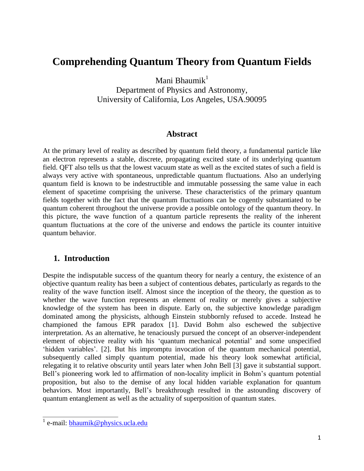# **Comprehending Quantum Theory from Quantum Fields**

Mani Bhaumik $<sup>1</sup>$ </sup>

Department of Physics and Astronomy, University of California, Los Angeles, USA.90095

#### **Abstract**

At the primary level of reality as described by quantum field theory, a fundamental particle like an electron represents a stable, discrete, propagating excited state of its underlying quantum field. QFT also tells us that the lowest vacuum state as well as the excited states of such a field is always very active with spontaneous, unpredictable quantum fluctuations. Also an underlying quantum field is known to be indestructible and immutable possessing the same value in each element of spacetime comprising the universe. These characteristics of the primary quantum fields together with the fact that the quantum fluctuations can be cogently substantiated to be quantum coherent throughout the universe provide a possible ontology of the quantum theory. In this picture, the wave function of a quantum particle represents the reality of the inherent quantum fluctuations at the core of the universe and endows the particle its counter intuitive quantum behavior.

### **1. Introduction**

Despite the indisputable success of the quantum theory for nearly a century, the existence of an objective quantum reality has been a subject of contentious debates, particularly as regards to the reality of the wave function itself. Almost since the inception of the theory, the question as to whether the wave function represents an element of reality or merely gives a subjective knowledge of the system has been in dispute. Early on, the subjective knowledge paradigm dominated among the physicists, although Einstein stubbornly refused to accede. Instead he championed the famous EPR paradox [1]. David Bohm also eschewed the subjective interpretation. As an alternative, he tenaciously pursued the concept of an observer-independent element of objective reality with his 'quantum mechanical potential' and some unspecified 'hidden variables'. [2]. But his impromptu invocation of the quantum mechanical potential, subsequently called simply quantum potential, made his theory look somewhat artificial, relegating it to relative obscurity until years later when John Bell [3] gave it substantial support. Bell's pioneering work led to affirmation of non-locality implicit in Bohm's quantum potential proposition, but also to the demise of any local hidden variable explanation for quantum behaviors. Most importantly, Bell's breakthrough resulted in the astounding discovery of quantum entanglement as well as the actuality of superposition of quantum states.

<sup>&</sup>lt;sup>1</sup> e-mail: **bhaumik@physics.ucla.edu**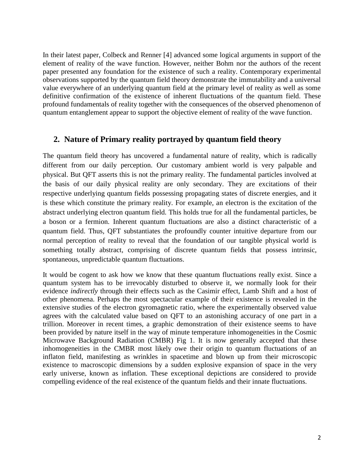In their latest paper, Colbeck and Renner [4] advanced some logical arguments in support of the element of reality of the wave function. However, neither Bohm nor the authors of the recent paper presented any foundation for the existence of such a reality. Contemporary experimental observations supported by the quantum field theory demonstrate the immutability and a universal value everywhere of an underlying quantum field at the primary level of reality as well as some definitive confirmation of the existence of inherent fluctuations of the quantum field. These profound fundamentals of reality together with the consequences of the observed phenomenon of quantum entanglement appear to support the objective element of reality of the wave function.

#### **2. Nature of Primary reality portrayed by quantum field theory**

The quantum field theory has uncovered a fundamental nature of reality, which is radically different from our daily perception. Our customary ambient world is very palpable and physical. But QFT asserts this is not the primary reality. The fundamental particles involved at the basis of our daily physical reality are only secondary. They are excitations of their respective underlying quantum fields possessing propagating states of discrete energies, and it is these which constitute the primary reality. For example, an electron is the excitation of the abstract underlying electron quantum field. This holds true for all the fundamental particles, be a boson or a fermion. Inherent quantum fluctuations are also a distinct characteristic of a quantum field. Thus, QFT substantiates the profoundly counter intuitive departure from our normal perception of reality to reveal that the foundation of our tangible physical world is something totally abstract, comprising of discrete quantum fields that possess intrinsic, spontaneous, unpredictable quantum fluctuations.

It would be cogent to ask how we know that these quantum fluctuations really exist. Since a quantum system has to be irrevocably disturbed to observe it, we normally look for their evidence *indirectly* through their effects such as the Casimir effect, Lamb Shift and a host of other phenomena. Perhaps the most spectacular example of their existence is revealed in the extensive studies of the electron gyromagnetic ratio, where the experimentally observed value agrees with the calculated value based on QFT to an astonishing accuracy of one part in a trillion. Moreover in recent times, a graphic demonstration of their existence seems to have been provided by nature itself in the way of minute temperature inhomogeneities in the Cosmic Microwave Background Radiation (CMBR) Fig 1. It is now generally accepted that these inhomogeneities in the CMBR most likely owe their origin to quantum fluctuations of an inflaton field, manifesting as wrinkles in spacetime and blown up from their microscopic existence to macroscopic dimensions by a sudden explosive expansion of space in the very early universe, known as inflation. These exceptional depictions are considered to provide compelling evidence of the real existence of the quantum fields and their innate fluctuations.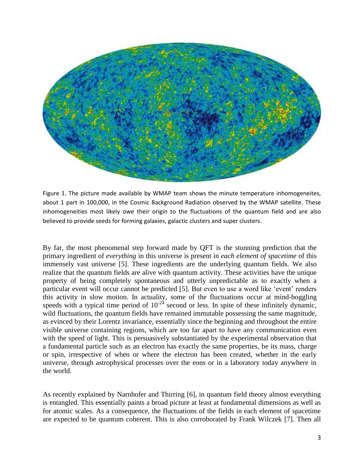

Figure 1. The picture made available by WMAP team shows the minute temperature inhomogeneites, about 1 part in 100,000, in the Cosmic Background Radiation observed by the WMAP satellite. These inhomogeneities most likely owe their origin to the fluctuations of the quantum field and are also believed to provide seeds for forming galaxies, galactic clusters and super clusters.

By far, the most phenomenal step forward made by QFT is the stunning prediction that the primary ingredient of *everything* in this universe is present in *each element of spacetime* of this immensely vast universe [5]. These ingredients are the underlying quantum fields. We also realize that the quantum fields are alive with quantum activity. These activities have the unique property of being completely spontaneous and utterly unpredictable as to exactly when a particular event will occur cannot be predicted [5]. But even to use a word like 'event' renders this activity in slow motion. In actuality, some of the fluctuations occur at mind-boggling speeds with a typical time period of  $10^{-24}$  second or less. In spite of these infinitely dynamic, wild fluctuations, the quantum fields have remained immutable possessing the same magnitude, as evinced by their Lorentz invariance, essentially since the beginning and throughout the entire visible universe containing regions, which are too far apart to have any communication even with the speed of light. This is persuasively substantiated by the experimental observation that a fundamental particle such as an electron has exactly the same properties, be its mass, charge or spin, irrespective of when or where the electron has been created, whether in the early universe, through astrophysical processes over the eons or in a laboratory today anywhere in the world.

As recently explained by Narnhofer and Thirring [6], in quantum field theory almost everything is entangled. This essentially paints a broad picture at least at fundamental dimensions as well as for atomic scales. As a consequence, the fluctuations of the fields in each element of spacetime are expected to be quantum coherent. This is also corroborated by Frank Wilczek [7]. Then all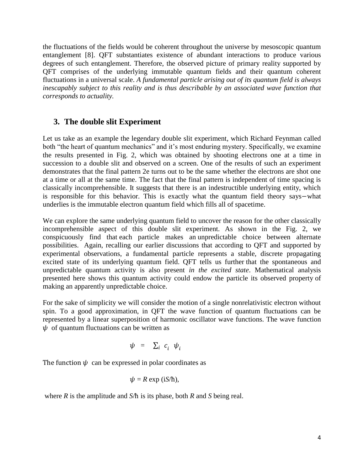the fluctuations of the fields would be coherent throughout the universe by mesoscopic quantum entanglement [8]. QFT substantiates existence of abundant interactions to produce various degrees of such entanglement. Therefore, the observed picture of primary reality supported by QFT comprises of the underlying immutable quantum fields and their quantum coherent fluctuations in a universal scale. *A fundamental particle arising out of its quantum field is always inescapably subject to this reality and is thus describable by an associated wave function that corresponds to actuality.*

## **3. The double slit Experiment**

Let us take as an example the legendary double slit experiment, which Richard Feynman called both "the heart of quantum mechanics" and it's most enduring mystery. Specifically, we examine the results presented in Fig. 2, which was obtained by shooting electrons one at a time in succession to a double slit and observed on a screen. One of the results of such an experiment demonstrates that the final pattern 2e turns out to be the same whether the electrons are shot one at a time or all at the same time. The fact that the final pattern is independent of time spacing is classically incomprehensible. It suggests that there is an indestructible underlying entity, which is responsible for this behavior. This is exactly what the quantum field theory says – what underlies is the immutable electron quantum field which fills all of spacetime.

We can explore the same underlying quantum field to uncover the reason for the other classically incomprehensible aspect of this double slit experiment. As shown in the Fig. 2, we conspicuously find that each particle makes an unpredictable choice between alternate possibilities. Again, recalling our earlier discussions that according to QFT and supported by experimental observations, a fundamental particle represents a stable, discrete propagating excited state of its underlying quantum field. QFT tells us further that the spontaneous and unpredictable quantum activity is also present *in the excited state*. Mathematical analysis presented here shows this quantum activity could endow the particle its observed property of making an apparently unpredictable choice.

For the sake of simplicity we will consider the motion of a single nonrelativistic electron without spin. To a good approximation, in QFT the wave function of quantum fluctuations can be represented by a linear superposition of harmonic oscillator wave functions. The wave function  $\psi$  of quantum fluctuations can be written as

$$
\psi = \sum_i c_i \psi_i
$$

The function  $\psi$  can be expressed in polar coordinates as

$$
\psi = R \exp(iS/\hbar),
$$

where  $R$  is the amplitude and  $S/\hbar$  is its phase, both  $R$  and  $S$  being real.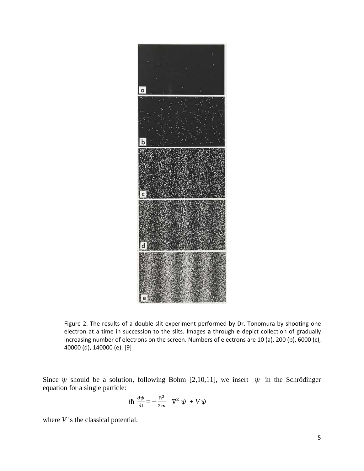

Figure 2. The results of a double-slit experiment performed by Dr. Tonomura by shooting one electron at a time in succession to the slits. Images **a** through **e** depict collection of gradually increasing number of electrons on the screen. Numbers of electrons are 10 (a), 200 (b), 6000 (c), 40000 (d), 140000 (e). [9]

Since  $\psi$  should be a solution, following Bohm [2,10,11], we insert  $\psi$  in the Schrödinger equation for a single particle:

$$
i\hbar \frac{\partial \psi}{\partial t} = -\frac{\hbar^2}{2m} \quad \nabla^2 \psi + V \psi
$$

where *V* is the classical potential.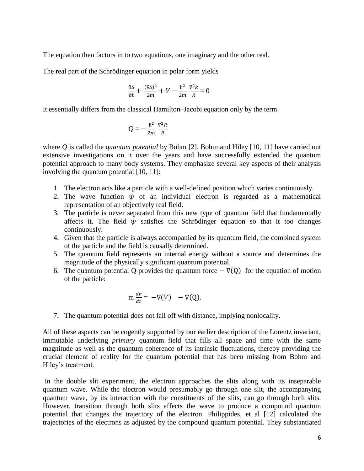The equation then factors in to two equations, one imaginary and the other real.

The real part of the Schrödinger equation in polar form yields

$$
\frac{\partial S}{\partial t} + \frac{(\nabla S)^2}{2m} + V - \frac{\hbar^2}{2m} \frac{\nabla^2 R}{R} = 0
$$

It essentially differs from the classical Hamilton–Jacobi equation only by the term

$$
Q=-\frac{\hbar^2}{2m}\frac{\nabla^2 R}{R}
$$

where *Q* is called the *quantum potential* by Bohm [2]. Bohm and Hiley [10, 11] have carried out extensive investigations on it over the years and have successfully extended the quantum potential approach to many body systems. They emphasize several key aspects of their analysis involving the quantum potential [10, 11]:

- 1. The electron acts like a particle with a well-defined position which varies continuously.
- 2. The wave function  $\psi$  of an individual electron is regarded as a mathematical representation of an objectively real field.
- 3. The particle is never separated from this new type of quantum field that fundamentally affects it. The field  $\psi$  satisfies the Schrödinger equation so that it too changes continuously.
- 4. Given that the particle is always accompanied by its quantum field, the combined system of the particle and the field is causally determined.
- 5. The quantum field represents an internal energy without a source and determines the magnitude of the physically significant quantum potential.
- 6. The quantum potential Q provides the quantum force  $-\nabla(Q)$  for the equation of motion of the particle:

$$
m \frac{dv}{dt} = -\nabla(V) - \nabla(Q).
$$

7. The quantum potential does not fall off with distance, implying nonlocality.

All of these aspects can be cogently supported by our earlier description of the Lorentz invariant, immutable underlying *primary* quantum field that fills all space and time with the same magnitude as well as the quantum coherence of its intrinsic fluctuations, thereby providing the crucial element of reality for the quantum potential that has been missing from Bohm and Hiley's treatment.

In the double slit experiment, the electron approaches the slits along with its inseparable quantum wave. While the electron would presumably go through one slit, the accompanying quantum wave, by its interaction with the constituents of the slits, can go through both slits. However, transition through both slits affects the wave to produce a compound quantum potential that changes the trajectory of the electron. Philippides, et al [12] calculated the trajectories of the electrons as adjusted by the compound quantum potential. They substantiated